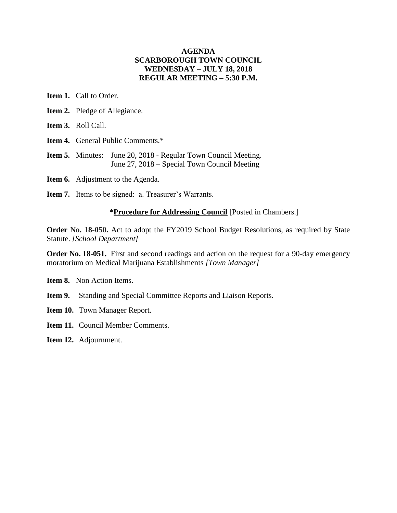### **AGENDA SCARBOROUGH TOWN COUNCIL WEDNESDAY – JULY 18, 2018 REGULAR MEETING – 5:30 P.M.**

**Item 1.** Call to Order.

- **Item 2.** Pledge of Allegiance.
- **Item 3.** Roll Call.
- **Item 4.** General Public Comments.\*
- **Item 5.** Minutes: June 20, 2018 Regular Town Council Meeting. June 27, 2018 – Special Town Council Meeting
- **Item 6.** Adjustment to the Agenda.
- **Item 7.** Items to be signed: a. Treasurer's Warrants.

#### **\*Procedure for Addressing Council** [Posted in Chambers.]

**Order No. 18-050.** Act to adopt the FY2019 School Budget Resolutions, as required by State Statute. *[School Department]*

**Order No. 18-051.** First and second readings and action on the request for a 90-day emergency moratorium on Medical Marijuana Establishments *[Town Manager]*

**Item 8.** Non Action Items.

- **Item 9.** Standing and Special Committee Reports and Liaison Reports.
- **Item 10.** Town Manager Report.
- **Item 11.** Council Member Comments.
- **Item 12.** Adjournment.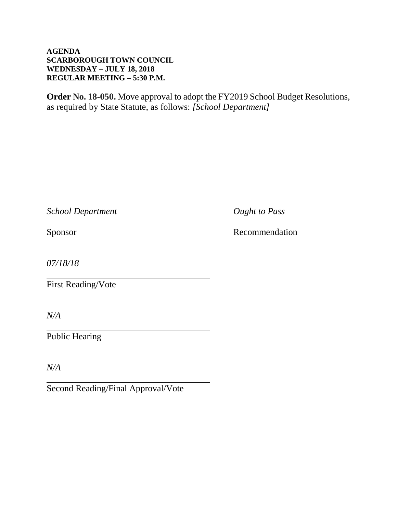### **AGENDA SCARBOROUGH TOWN COUNCIL WEDNESDAY – JULY 18, 2018 REGULAR MEETING – 5:30 P.M.**

**Order No. 18-050.** Move approval to adopt the FY2019 School Budget Resolutions, as required by State Statute, as follows: *[School Department]*

*School Department Ought to Pass*

Sponsor Recommendation

*07/18/18*

First Reading/Vote

*N/A*

Public Hearing

*N/A*

Second Reading/Final Approval/Vote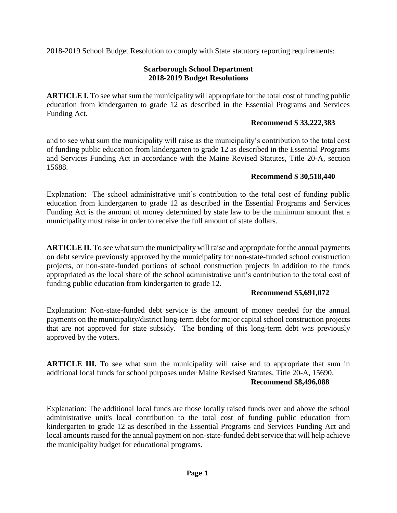2018-2019 School Budget Resolution to comply with State statutory reporting requirements:

## **Scarborough School Department 2018-2019 Budget Resolutions**

**ARTICLE I.** To see what sum the municipality will appropriate for the total cost of funding public education from kindergarten to grade 12 as described in the Essential Programs and Services Funding Act.

## **Recommend \$ 33,222,383**

and to see what sum the municipality will raise as the municipality's contribution to the total cost of funding public education from kindergarten to grade 12 as described in the Essential Programs and Services Funding Act in accordance with the Maine Revised Statutes, Title 20-A, section 15688.

## **Recommend \$ 30,518,440**

Explanation: The school administrative unit's contribution to the total cost of funding public education from kindergarten to grade 12 as described in the Essential Programs and Services Funding Act is the amount of money determined by state law to be the minimum amount that a municipality must raise in order to receive the full amount of state dollars.

**ARTICLE II.** To see what sum the municipality will raise and appropriate for the annual payments on debt service previously approved by the municipality for non-state-funded school construction projects, or non-state-funded portions of school construction projects in addition to the funds appropriated as the local share of the school administrative unit's contribution to the total cost of funding public education from kindergarten to grade 12.

# **Recommend \$5,691,072**

Explanation: Non-state-funded debt service is the amount of money needed for the annual payments on the municipality/district long-term debt for major capital school construction projects that are not approved for state subsidy. The bonding of this long-term debt was previously approved by the voters.

**ARTICLE III.** To see what sum the municipality will raise and to appropriate that sum in additional local funds for school purposes under Maine Revised Statutes, Title 20-A, 15690.

### **Recommend \$8,496,088**

Explanation: The additional local funds are those locally raised funds over and above the school administrative unit's local contribution to the total cost of funding public education from kindergarten to grade 12 as described in the Essential Programs and Services Funding Act and local amounts raised for the annual payment on non-state-funded debt service that will help achieve the municipality budget for educational programs.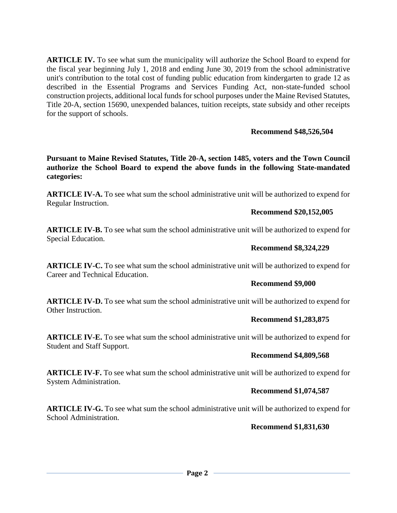**ARTICLE IV.** To see what sum the municipality will authorize the School Board to expend for the fiscal year beginning July 1, 2018 and ending June 30, 2019 from the school administrative unit's contribution to the total cost of funding public education from kindergarten to grade 12 as described in the Essential Programs and Services Funding Act, non-state-funded school construction projects, additional local funds for school purposes under the Maine Revised Statutes, Title 20-A, section 15690, unexpended balances, tuition receipts, state subsidy and other receipts for the support of schools.

## **Recommend \$48,526,504**

**Pursuant to Maine Revised Statutes, Title 20-A, section 1485, voters and the Town Council authorize the School Board to expend the above funds in the following State-mandated categories:**

**ARTICLE IV-A.** To see what sum the school administrative unit will be authorized to expend for Regular Instruction.

#### **Recommend \$20,152,005**

**ARTICLE IV-B.** To see what sum the school administrative unit will be authorized to expend for Special Education.

### **Recommend \$8,324,229**

**ARTICLE IV-C.** To see what sum the school administrative unit will be authorized to expend for Career and Technical Education.

#### **Recommend \$9,000**

**ARTICLE IV-D.** To see what sum the school administrative unit will be authorized to expend for Other Instruction.

#### **Recommend \$1,283,875**

**ARTICLE IV-E.** To see what sum the school administrative unit will be authorized to expend for Student and Staff Support.

### **Recommend \$4,809,568**

**ARTICLE IV-F.** To see what sum the school administrative unit will be authorized to expend for System Administration.

### **Recommend \$1,074,587**

**ARTICLE IV-G.** To see what sum the school administrative unit will be authorized to expend for School Administration.

### **Recommend \$1,831,630**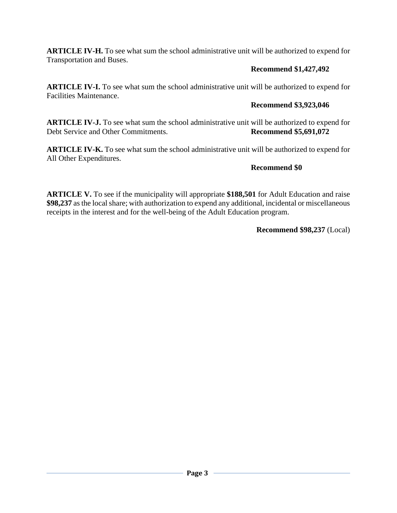**ARTICLE IV-H.** To see what sum the school administrative unit will be authorized to expend for Transportation and Buses.

# **Recommend \$1,427,492**

**ARTICLE IV-I.** To see what sum the school administrative unit will be authorized to expend for Facilities Maintenance.

# **Recommend \$3,923,046**

**ARTICLE IV-J.** To see what sum the school administrative unit will be authorized to expend for Debt Service and Other Commitments. **Recommend \$5,691,072**

**ARTICLE IV-K.** To see what sum the school administrative unit will be authorized to expend for All Other Expenditures.

# **Recommend \$0**

**ARTICLE V.** To see if the municipality will appropriate **\$188,501** for Adult Education and raise **\$98,237** as the local share; with authorization to expend any additional, incidental or miscellaneous receipts in the interest and for the well-being of the Adult Education program.

**Recommend \$98,237** (Local)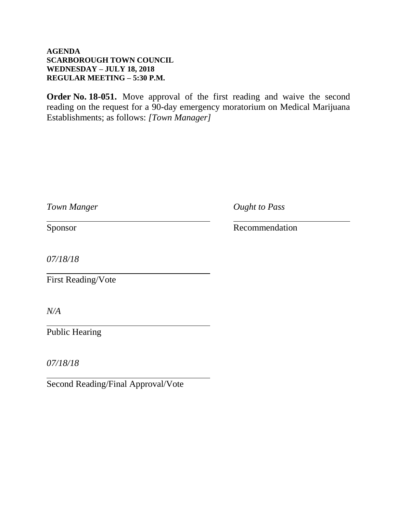### **AGENDA SCARBOROUGH TOWN COUNCIL WEDNESDAY – JULY 18, 2018 REGULAR MEETING – 5:30 P.M.**

**Order No. 18-051.** Move approval of the first reading and waive the second reading on the request for a 90-day emergency moratorium on Medical Marijuana Establishments; as follows: *[Town Manager]*

|  | Town Manger |
|--|-------------|
|--|-------------|

*Ought to Pass* 

Sponsor Recommendation

*07/18/18*

First Reading/Vote

*N/A*

Public Hearing

*07/18/18*

Second Reading/Final Approval/Vote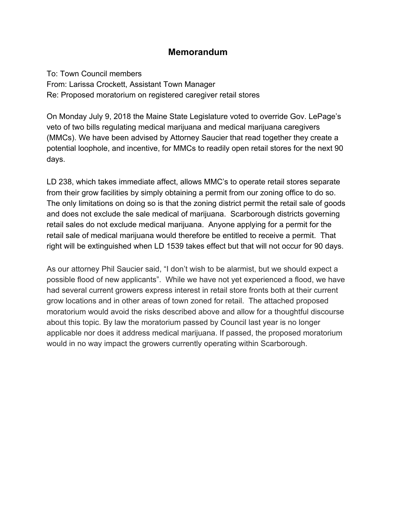# **Memorandum**

To: Town Council members From: Larissa Crockett, Assistant Town Manager Re: Proposed moratorium on registered caregiver retail stores

On Monday July 9, 2018 the Maine State Legislature voted to override Gov. LePage's veto of two bills regulating medical marijuana and medical marijuana caregivers (MMCs). We have been advised by Attorney Saucier that read together they create a potential loophole, and incentive, for MMCs to readily open retail stores for the next 90 days.

LD 238, which takes immediate affect, allows MMC's to operate retail stores separate from their grow facilities by simply obtaining a permit from our zoning office to do so. The only limitations on doing so is that the zoning district permit the retail sale of goods and does not exclude the sale medical of marijuana. Scarborough districts governing retail sales do not exclude medical marijuana. Anyone applying for a permit for the retail sale of medical marijuana would therefore be entitled to receive a permit. That right will be extinguished when LD 1539 takes effect but that will not occur for 90 days.

As our attorney Phil Saucier said, "I don't wish to be alarmist, but we should expect a possible flood of new applicants". While we have not yet experienced a flood, we have had several current growers express interest in retail store fronts both at their current grow locations and in other areas of town zoned for retail. The attached proposed moratorium would avoid the risks described above and allow for a thoughtful discourse about this topic. By law the moratorium passed by Council last year is no longer applicable nor does it address medical marijuana. If passed, the proposed moratorium would in no way impact the growers currently operating within Scarborough.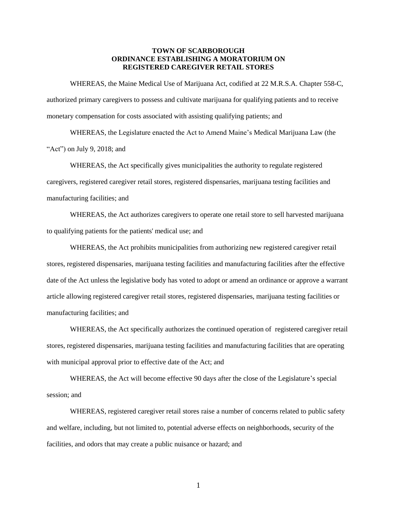#### **TOWN OF SCARBOROUGH ORDINANCE ESTABLISHING A MORATORIUM ON REGISTERED CAREGIVER RETAIL STORES**

WHEREAS, the Maine Medical Use of Marijuana Act, codified at 22 M.R.S.A. Chapter 558-C, authorized primary caregivers to possess and cultivate marijuana for qualifying patients and to receive monetary compensation for costs associated with assisting qualifying patients; and

WHEREAS, the Legislature enacted the Act to Amend Maine's Medical Marijuana Law (the "Act") on July 9, 2018; and

WHEREAS, the Act specifically gives municipalities the authority to regulate registered caregivers, registered caregiver retail stores, registered dispensaries, marijuana testing facilities and manufacturing facilities; and

WHEREAS, the Act authorizes caregivers to operate one retail store to sell harvested marijuana to qualifying patients for the patients' medical use; and

WHEREAS, the Act prohibits municipalities from authorizing new registered caregiver retail stores, registered dispensaries, marijuana testing facilities and manufacturing facilities after the effective date of the Act unless the legislative body has voted to adopt or amend an ordinance or approve a warrant article allowing registered caregiver retail stores, registered dispensaries, marijuana testing facilities or manufacturing facilities; and

WHEREAS, the Act specifically authorizes the continued operation of registered caregiver retail stores, registered dispensaries, marijuana testing facilities and manufacturing facilities that are operating with municipal approval prior to effective date of the Act; and

WHEREAS, the Act will become effective 90 days after the close of the Legislature's special session; and

WHEREAS, registered caregiver retail stores raise a number of concerns related to public safety and welfare, including, but not limited to, potential adverse effects on neighborhoods, security of the facilities, and odors that may create a public nuisance or hazard; and

1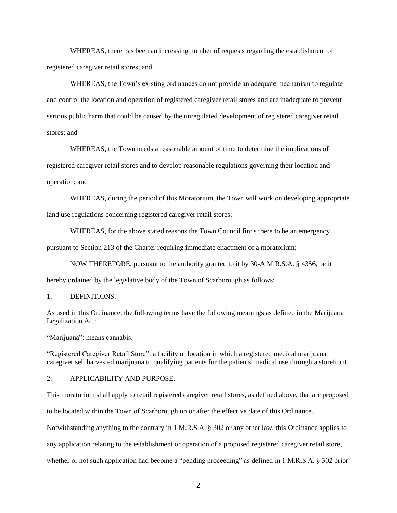WHEREAS, there has been an increasing number of requests regarding the establishment of registered caregiver retail stores; and

WHEREAS, the Town's existing ordinances do not provide an adequate mechanism to regulate and control the location and operation of registered caregiver retail stores and are inadequate to prevent serious public harm that could be caused by the unregulated development of registered caregiver retail stores; and

WHEREAS, the Town needs a reasonable amount of time to determine the implications of registered caregiver retail stores and to develop reasonable regulations governing their location and operation; and

WHEREAS, during the period of this Moratorium, the Town will work on developing appropriate

land use regulations concerning registered caregiver retail stores;

WHEREAS, for the above stated reasons the Town Council finds there to be an emergency

pursuant to Section 213 of the Charter requiring immediate enactment of a moratorium;

NOW THEREFORE, pursuant to the authority granted to it by 30-A M.R.S.A. § 4356, be it hereby ordained by the legislative body of the Town of Scarborough as follows:

#### 1. DEFINITIONS.

As used in this Ordinance, the following terms have the following meanings as defined in the Marijuana Legalization Act:

"Marijuana": means cannabis.

"Registered Caregiver Retail Store": a facility or location in which a registered medical marijuana caregiver sell harvested marijuana to qualifying patients for the patients' medical use through a storefront.

2. APPLICABILITY AND PURPOSE.

This moratorium shall apply to retail registered caregiver retail stores, as defined above, that are proposed

to be located within the Town of Scarborough on or after the effective date of this Ordinance.

Notwithstanding anything to the contrary in 1 M.R.S.A. § 302 or any other law, this Ordinance applies to

any application relating to the establishment or operation of a proposed registered caregiver retail store,

whether or not such application had become a "pending proceeding" as defined in 1 M.R.S.A. § 302 prior